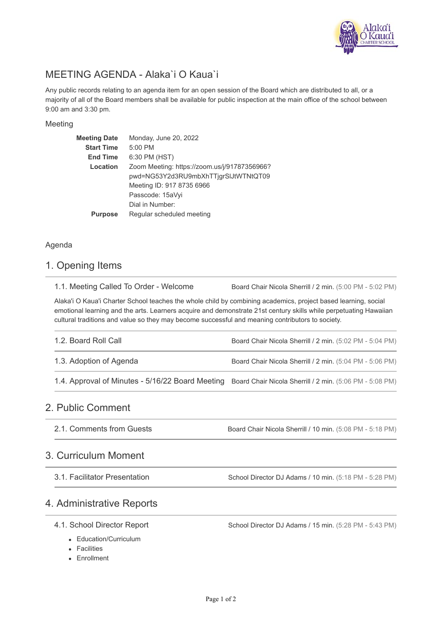

# MEETING AGENDA - Alaka`i O Kaua`i

Any public records relating to an agenda item for an open session of the Board which are distributed to all, or a majority of all of the Board members shall be available for public inspection at the main office of the school between 9:00 am and 3:30 pm.

#### Meeting

| <b>Meeting Date</b> | Monday, June 20, 2022                        |  |
|---------------------|----------------------------------------------|--|
| <b>Start Time</b>   | 5:00 PM                                      |  |
| <b>End Time</b>     | 6:30 PM (HST)                                |  |
| Location            | Zoom Meeting: https://zoom.us/j/91787356966? |  |
|                     | pwd=NG53Y2d3RU9mbXhTTjgrSlJtWTNtQT09         |  |
|                     | Meeting ID: 917 8735 6966                    |  |
|                     | Passcode: 15aVyi                             |  |
|                     | Dial in Number:                              |  |
| Purpose             | Regular scheduled meeting                    |  |

#### Agenda

### 1. Opening Items

Board Chair Nicola Sherrill / 2 min. (5:00 PM - 5:02 PM) 1.1. Meeting Called To Order - Welcome

Alaka'i O Kaua'i Charter School teaches the whole child by combining academics, project based learning, social emotional learning and the arts. Learners acquire and demonstrate 21st century skills while perpetuating Hawaiian cultural traditions and value so they may become successful and meaning contributors to society.

| 1.2. Board Roll Call                                                                                      | Board Chair Nicola Sherrill / 2 min. (5:02 PM - 5:04 PM) |
|-----------------------------------------------------------------------------------------------------------|----------------------------------------------------------|
| 1.3. Adoption of Agenda                                                                                   | Board Chair Nicola Sherrill / 2 min. (5:04 PM - 5:06 PM) |
| 1.4. Approval of Minutes - 5/16/22 Board Meeting Board Chair Nicola Sherrill / 2 min. (5:06 PM - 5:08 PM) |                                                          |

### 2. Public Comment

Board Chair Nicola Sherrill / 10 min. (5:08 PM - 5:18 PM) 2.1. Comments from Guests

### 3. Curriculum Moment

3.1. Facilitator Presentation

School Director DJ Adams / 10 min. (5:18 PM - 5:28 PM)

## 4. Administrative Reports

#### 4.1. School Director Report

School Director DJ Adams / 15 min. (5:28 PM - 5:43 PM)

- Education/Curriculum
- Facilities
- **Enrollment**